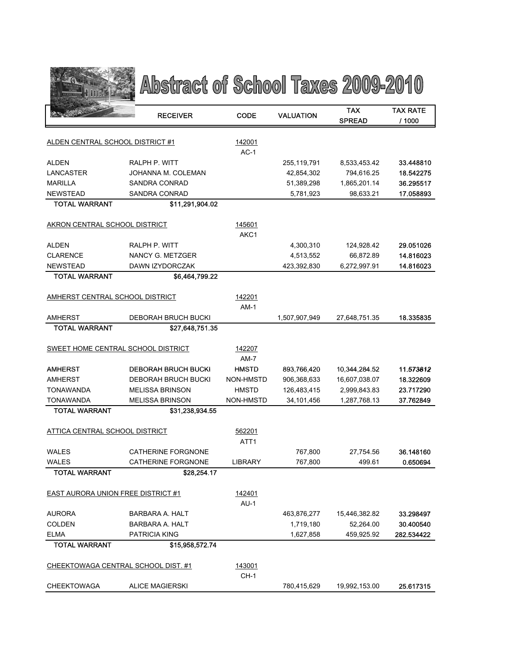

## Abstract of School Taxes 2009-2010

|                                           | <b>RECEIVER</b>                            | CODE             | <b>VALUATION</b>         | TAX                        | <b>TAX RATE</b>        |
|-------------------------------------------|--------------------------------------------|------------------|--------------------------|----------------------------|------------------------|
|                                           |                                            |                  |                          | <b>SPREAD</b>              | / 1000                 |
|                                           |                                            |                  |                          |                            |                        |
| ALDEN CENTRAL SCHOOL DISTRICT #1          |                                            | 142001           |                          |                            |                        |
|                                           |                                            | $AC-1$           |                          |                            |                        |
| <b>ALDEN</b>                              | RALPH P. WITT                              |                  | 255, 119, 791            | 8,533,453.42               | 33.448810<br>18.542275 |
| LANCASTER<br><b>MARILLA</b>               | JOHANNA M. COLEMAN<br>SANDRA CONRAD        |                  | 42,854,302<br>51,389,298 | 794,616.25<br>1,865,201.14 | 36.295517              |
| <b>NEWSTEAD</b>                           | SANDRA CONRAD                              |                  | 5,781,923                | 98,633.21                  | 17.058893              |
| <b>TOTAL WARRANT</b>                      | \$11,291,904.02                            |                  |                          |                            |                        |
|                                           |                                            |                  |                          |                            |                        |
| AKRON CENTRAL SCHOOL DISTRICT             |                                            | 145601           |                          |                            |                        |
|                                           |                                            | AKC1             |                          |                            |                        |
| ALDEN                                     | RALPH P. WITT                              |                  | 4,300,310                | 124,928.42                 | 29.051026              |
| <b>CLARENCE</b>                           | NANCY G. METZGER                           |                  | 4,513,552                | 66,872.89                  | 14.816023              |
| <b>NEWSTEAD</b>                           | DAWN IZYDORCZAK                            |                  | 423,392,830              | 6,272,997.91               | 14.816023              |
| <b>TOTAL WARRANT</b>                      | \$6,464,799.22                             |                  |                          |                            |                        |
|                                           |                                            |                  |                          |                            |                        |
| AMHERST CENTRAL SCHOOL DISTRICT           |                                            | 142201           |                          |                            |                        |
|                                           |                                            | $AM-1$           |                          |                            |                        |
| <b>AMHERST</b>                            | <b>DEBORAH BRUCH BUCKI</b>                 |                  | 1,507,907,949            | 27,648,751.35              | 18.335835              |
| <b>TOTAL WARRANT</b>                      | \$27,648,751.35                            |                  |                          |                            |                        |
|                                           | SWEET HOME CENTRAL SCHOOL DISTRICT         | 142207           |                          |                            |                        |
|                                           |                                            | $AM-7$           |                          |                            |                        |
| AMHERST                                   | <b>DEBORAH BRUCH BUCKI</b>                 | <b>HMSTD</b>     | 893,766,420              | 10,344,284.52              | 11.573812              |
| <b>AMHERST</b>                            | DEBORAH BRUCH BUCKI                        | NON-HMSTD        | 906,368,633              | 16,607,038.07              | 18.322609              |
| <b>TONAWANDA</b>                          | <b>MELISSA BRINSON</b>                     | <b>HMSTD</b>     | 126,483,415              | 2,999,843.83               | 23.717290              |
| TONAWANDA                                 | <b>MELISSA BRINSON</b>                     | NON-HMSTD        | 34,101,456               | 1,287,768.13               | 37.762849              |
| <b>TOTAL WARRANT</b>                      | \$31,238,934.55                            |                  |                          |                            |                        |
|                                           |                                            |                  |                          |                            |                        |
| ATTICA CENTRAL SCHOOL DISTRICT            |                                            | 562201           |                          |                            |                        |
|                                           |                                            | ATT <sub>1</sub> |                          |                            |                        |
| <b>WALES</b>                              | <b>CATHERINE FORGNONE</b>                  |                  | 767,800                  | 27,754.56                  | 36.148160              |
| WALES                                     | <b>CATHERINE FORGNONE</b>                  | <b>LIBRARY</b>   | 767,800                  | 499.61                     | 0.650694               |
| <b>TOTAL WARRANT</b>                      | \$28,254.17                                |                  |                          |                            |                        |
| <b>EAST AURORA UNION FREE DISTRICT #1</b> |                                            | 142401           |                          |                            |                        |
|                                           |                                            | $AU-1$           |                          |                            |                        |
| AURORA                                    | BARBARA A. HALT                            |                  | 463,876,277              | 15,446,382.82              | 33.298497              |
| <b>COLDEN</b>                             | BARBARA A. HALT                            |                  | 1,719,180                | 52,264.00                  | 30.400540              |
| <b>ELMA</b>                               | <b>PATRICIA KING</b>                       |                  | 1,627,858                | 459,925.92                 | 282.534422             |
| <b>TOTAL WARRANT</b>                      | \$15,958,572.74                            |                  |                          |                            |                        |
|                                           |                                            |                  |                          |                            |                        |
|                                           | <b>CHEEKTOWAGA CENTRAL SCHOOL DIST. #1</b> | 143001           |                          |                            |                        |
|                                           |                                            | CH-1             |                          |                            |                        |
| CHEEKTOWAGA                               | <b>ALICE MAGIERSKI</b>                     |                  | 780.415.629              | 19.992.153.00              | 25.617315              |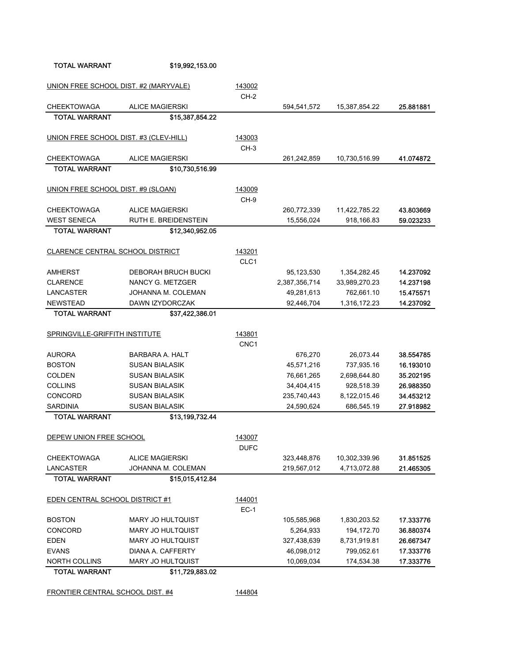FRONTIER CENTRAL SCHOOL DIST. #4 144804

| UNION FREE SCHOOL DIST. #2 (MARYVALE)  |                          | 143002      |               |               |           |
|----------------------------------------|--------------------------|-------------|---------------|---------------|-----------|
|                                        |                          | $CH-2$      |               |               |           |
| <b>CHEEKTOWAGA</b>                     | <b>ALICE MAGIERSKI</b>   |             | 594,541,572   | 15,387,854.22 | 25.881881 |
| <b>TOTAL WARRANT</b>                   | \$15,387,854.22          |             |               |               |           |
|                                        |                          |             |               |               |           |
| UNION FREE SCHOOL DIST. #3 (CLEV-HILL) |                          | 143003      |               |               |           |
|                                        |                          | $CH-3$      |               |               |           |
| <b>CHEEKTOWAGA</b>                     | <b>ALICE MAGIERSKI</b>   |             | 261,242,859   | 10,730,516.99 | 41.074872 |
| <b>TOTAL WARRANT</b>                   | \$10,730,516.99          |             |               |               |           |
|                                        |                          |             |               |               |           |
| UNION FREE SCHOOL DIST. #9 (SLOAN)     |                          | 143009      |               |               |           |
|                                        |                          | $CH-9$      |               |               |           |
| <b>CHEEKTOWAGA</b>                     | <b>ALICE MAGIERSKI</b>   |             | 260,772,339   | 11,422,785.22 | 43.803669 |
| <b>WEST SENECA</b>                     | RUTH E. BREIDENSTEIN     |             | 15,556,024    | 918,166.83    | 59.023233 |
| <b>TOTAL WARRANT</b>                   | \$12,340,952.05          |             |               |               |           |
| CLARENCE CENTRAL SCHOOL DISTRICT       |                          | 143201      |               |               |           |
|                                        |                          | CLC1        |               |               |           |
| AMHERST                                | DEBORAH BRUCH BUCKI      |             | 95,123,530    | 1,354,282.45  | 14.237092 |
| <b>CLARENCE</b>                        | NANCY G. METZGER         |             | 2,387,356,714 | 33,989,270.23 | 14.237198 |
| LANCASTER                              | JOHANNA M. COLEMAN       |             | 49,281,613    | 762,661.10    | 15.475571 |
| <b>NEWSTEAD</b>                        | DAWN IZYDORCZAK          |             | 92,446,704    | 1,316,172.23  | 14.237092 |
| <b>TOTAL WARRANT</b>                   | \$37,422,386.01          |             |               |               |           |
|                                        |                          |             |               |               |           |
| SPRINGVILLE-GRIFFITH INSTITUTE         |                          | 143801      |               |               |           |
|                                        |                          | CNC1        |               |               |           |
| <b>AURORA</b>                          | BARBARA A. HALT          |             | 676,270       | 26,073.44     | 38.554785 |
| <b>BOSTON</b>                          | <b>SUSAN BIALASIK</b>    |             | 45,571,216    | 737,935.16    | 16.193010 |
| <b>COLDEN</b>                          | <b>SUSAN BIALASIK</b>    |             | 76,661,265    | 2,698,644.80  | 35.202195 |
| <b>COLLINS</b>                         | <b>SUSAN BIALASIK</b>    |             | 34,404,415    | 928,518.39    | 26.988350 |
| CONCORD                                | <b>SUSAN BIALASIK</b>    |             | 235,740,443   | 8,122,015.46  | 34.453212 |
| <b>SARDINIA</b>                        | <b>SUSAN BIALASIK</b>    |             | 24,590,624    | 686,545.19    | 27.918982 |
| <b>TOTAL WARRANT</b>                   | \$13,199,732.44          |             |               |               |           |
| DEPEW UNION FREE SCHOOL                |                          | 143007      |               |               |           |
|                                        |                          | <b>DUFC</b> |               |               |           |
| <b>CHEEKTOWAGA</b>                     | <b>ALICE MAGIERSKI</b>   |             | 323,448,876   | 10,302,339.96 | 31.851525 |
| LANCASTER                              | JOHANNA M. COLEMAN       |             | 219,567,012   | 4,713,072.88  | 21.465305 |
| <b>TOTAL WARRANT</b>                   | \$15,015,412.84          |             |               |               |           |
|                                        |                          |             |               |               |           |
| <b>EDEN CENTRAL SCHOOL DISTRICT #1</b> |                          | 144001      |               |               |           |
|                                        |                          | $EC-1$      |               |               |           |
| <b>BOSTON</b>                          | MARY JO HULTQUIST        |             | 105,585,968   | 1,830,203.52  | 17.333776 |
| CONCORD                                | MARY JO HULTQUIST        |             | 5,264,933     | 194,172.70    | 36.880374 |
| <b>EDEN</b>                            | <b>MARY JO HULTQUIST</b> |             | 327,438,639   | 8,731,919.81  | 26.667347 |
| <b>EVANS</b>                           | DIANA A. CAFFERTY        |             | 46,098,012    | 799,052.61    | 17.333776 |
| <b>NORTH COLLINS</b>                   | <b>MARY JO HULTQUIST</b> |             | 10,069,034    | 174,534.38    | 17.333776 |
| <b>TOTAL WARRANT</b>                   | \$11,729,883.02          |             |               |               |           |
|                                        |                          |             |               |               |           |

TOTAL WARRANT \$19,992,153.00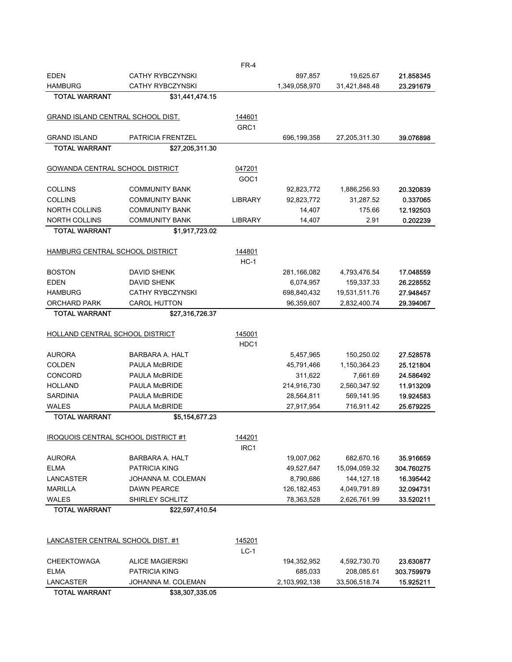| <b>EDEN</b>                          | <b>CATHY RYBCZYNSKI</b>                |                  | 897,857       | 19,625.67     | 21.858345  |
|--------------------------------------|----------------------------------------|------------------|---------------|---------------|------------|
| <b>HAMBURG</b>                       | <b>CATHY RYBCZYNSKI</b>                |                  | 1,349,058,970 | 31,421,848.48 | 23.291679  |
| <b>TOTAL WARRANT</b>                 | \$31,441,474.15                        |                  |               |               |            |
|                                      |                                        |                  |               |               |            |
| GRAND ISLAND CENTRAL SCHOOL DIST.    |                                        | 144601           |               |               |            |
|                                      |                                        | GRC1             |               |               |            |
| <b>GRAND ISLAND</b>                  | <b>PATRICIA FRENTZEL</b>               |                  | 696,199,358   | 27,205,311.30 | 39.076898  |
| <b>TOTAL WARRANT</b>                 | \$27,205,311.30                        |                  |               |               |            |
| GOWANDA CENTRAL SCHOOL DISTRICT      |                                        | 047201           |               |               |            |
|                                      |                                        | GOC1             |               |               |            |
| <b>COLLINS</b>                       | <b>COMMUNITY BANK</b>                  |                  | 92,823,772    | 1,886,256.93  | 20.320839  |
| <b>COLLINS</b>                       | <b>COMMUNITY BANK</b>                  | LIBRARY          | 92,823,772    | 31,287.52     | 0.337065   |
| <b>NORTH COLLINS</b>                 | <b>COMMUNITY BANK</b>                  |                  | 14,407        | 175.66        | 12.192503  |
| <b>NORTH COLLINS</b>                 | <b>COMMUNITY BANK</b>                  | <b>LIBRARY</b>   | 14,407        | 2.91          | 0.202239   |
| <b>TOTAL WARRANT</b>                 | \$1,917,723.02                         |                  |               |               |            |
|                                      |                                        |                  |               |               |            |
| HAMBURG CENTRAL SCHOOL DISTRICT      |                                        | 144801           |               |               |            |
|                                      |                                        | $HC-1$           |               |               |            |
| <b>BOSTON</b>                        | <b>DAVID SHENK</b>                     |                  | 281,166,082   | 4,793,476.54  | 17.048559  |
| <b>EDEN</b>                          | <b>DAVID SHENK</b>                     |                  | 6,074,957     | 159,337.33    | 26.228552  |
| <b>HAMBURG</b>                       | <b>CATHY RYBCZYNSKI</b>                |                  | 698,840,432   | 19,531,511.76 | 27.948457  |
| <b>ORCHARD PARK</b>                  | <b>CAROL HUTTON</b>                    |                  | 96,359,607    | 2,832,400.74  | 29.394067  |
| <b>TOTAL WARRANT</b>                 | \$27,316,726.37                        |                  |               |               |            |
|                                      |                                        |                  |               |               |            |
| HOLLAND CENTRAL SCHOOL DISTRICT      |                                        | 145001           |               |               |            |
|                                      |                                        | HDC1             |               |               |            |
| <b>AURORA</b>                        | <b>BARBARA A. HALT</b>                 |                  | 5,457,965     | 150,250.02    | 27.528578  |
| <b>COLDEN</b>                        | <b>PAULA McBRIDE</b>                   |                  | 45,791,466    | 1,150,364.23  | 25.121804  |
| <b>CONCORD</b>                       | PAULA McBRIDE                          |                  | 311,622       | 7,661.69      | 24.586492  |
| <b>HOLLAND</b>                       | PAULA McBRIDE                          |                  | 214,916,730   | 2,560,347.92  | 11.913209  |
| <b>SARDINIA</b>                      | PAULA McBRIDE                          |                  | 28,564,811    | 569,141.95    | 19.924583  |
| <b>WALES</b><br><b>TOTAL WARRANT</b> | <b>PAULA McBRIDE</b><br>\$5,154,677.23 |                  | 27,917,954    | 716,911.42    | 25.679225  |
|                                      |                                        |                  |               |               |            |
| IROQUOIS CENTRAL SCHOOL DISTRICT #1  |                                        | 144201           |               |               |            |
|                                      |                                        | IRC <sub>1</sub> |               |               |            |
| <b>AURORA</b>                        | <b>BARBARA A. HALT</b>                 |                  | 19,007,062    | 682,670.16    | 35.916659  |
| <b>ELMA</b>                          | PATRICIA KING                          |                  | 49,527,647    | 15,094,059.32 | 304.760275 |
| LANCASTER                            | JOHANNA M. COLEMAN                     |                  | 8,790,686     | 144, 127. 18  | 16.395442  |
| <b>MARILLA</b>                       | <b>DAWN PEARCE</b>                     |                  | 126, 182, 453 | 4,049,791.89  | 32.094731  |
| <b>WALES</b>                         | SHIRLEY SCHLITZ                        |                  | 78,363,528    | 2,626,761.99  | 33.520211  |
| <b>TOTAL WARRANT</b>                 | \$22,597,410.54                        |                  |               |               |            |
|                                      |                                        |                  |               |               |            |
|                                      |                                        |                  |               |               |            |
| LANCASTER CENTRAL SCHOOL DIST. #1    |                                        | 145201           |               |               |            |
|                                      |                                        | $LC-1$           |               |               |            |
| <b>CHEEKTOWAGA</b>                   | <b>ALICE MAGIERSKI</b>                 |                  | 194,352,952   | 4,592,730.70  | 23.630877  |
| <b>ELMA</b>                          | <b>PATRICIA KING</b>                   |                  | 685,033       | 208,085.61    | 303.759979 |
| LANCASTER                            | JOHANNA M. COLEMAN                     |                  | 2,103,992,138 | 33,506,518.74 | 15.925211  |
| <b>TOTAL WARRANT</b>                 | \$38,307,335.05                        |                  |               |               |            |

FR-4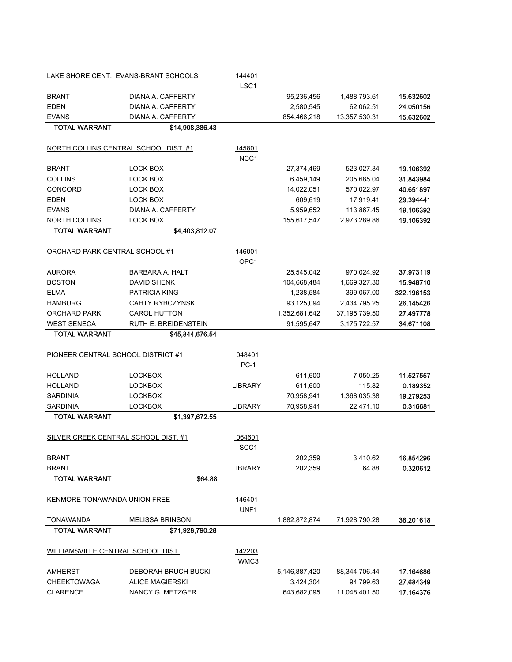|                                      | LAKE SHORE CENT. EVANS-BRANT SCHOOLS         | 144401<br>LSC <sub>1</sub> |               |                 |                        |
|--------------------------------------|----------------------------------------------|----------------------------|---------------|-----------------|------------------------|
| <b>BRANT</b>                         | DIANA A. CAFFERTY                            |                            | 95,236,456    | 1,488,793.61    | 15.632602              |
| <b>EDEN</b>                          | DIANA A. CAFFERTY                            |                            | 2,580,545     | 62,062.51       | 24.050156              |
| EVANS                                | DIANA A. CAFFERTY                            |                            | 854,466,218   | 13,357,530.31   | 15.632602              |
| <b>TOTAL WARRANT</b>                 | \$14,908,386.43                              |                            |               |                 |                        |
|                                      | NORTH COLLINS CENTRAL SCHOOL DIST. #1        | 145801                     |               |                 |                        |
|                                      |                                              | NCC1                       |               |                 |                        |
| BRANT                                | LOCK BOX                                     |                            | 27,374,469    | 523,027.34      | 19.106392              |
| <b>COLLINS</b>                       | LOCK BOX                                     |                            | 6,459,149     | 205,685.04      | 31.843984              |
| CONCORD                              | <b>LOCK BOX</b>                              |                            | 14,022,051    | 570,022.97      | 40.651897              |
| EDEN                                 | LOCK BOX                                     |                            | 609,619       | 17,919.41       | 29.394441              |
| EVANS                                | DIANA A. CAFFERTY                            |                            | 5,959,652     | 113,867.45      | 19.106392              |
| NORTH COLLINS                        | LOCK BOX                                     |                            | 155,617,547   | 2,973,289.86    | 19.106392              |
| <b>TOTAL WARRANT</b>                 | \$4,403,812.07                               |                            |               |                 |                        |
| ORCHARD PARK CENTRAL SCHOOL #1       |                                              | 146001                     |               |                 |                        |
|                                      |                                              | OPC1                       |               |                 |                        |
| AURORA                               | <b>BARBARA A. HALT</b><br><b>DAVID SHENK</b> |                            | 25,545,042    | 970,024.92      | 37.973119              |
| <b>BOSTON</b>                        |                                              |                            | 104,668,484   | 1,669,327.30    | 15.948710              |
| <b>ELMA</b>                          | <b>PATRICIA KING</b>                         |                            | 1,238,584     | 399,067.00      | 322.196153             |
| <b>HAMBURG</b>                       | <b>CAHTY RYBCZYNSKI</b>                      |                            | 93,125,094    | 2,434,795.25    | 26.145426              |
| ORCHARD PARK                         | <b>CAROL HUTTON</b>                          |                            | 1,352,681,642 | 37, 195, 739.50 | 27.497778<br>34.671108 |
| WEST SENECA<br><b>TOTAL WARRANT</b>  | RUTH E. BREIDENSTEIN<br>\$45,844,676.54      |                            | 91,595,647    | 3,175,722.57    |                        |
| PIONEER CENTRAL SCHOOL DISTRICT #1   |                                              | 048401                     |               |                 |                        |
|                                      |                                              | $PC-1$                     |               |                 |                        |
| HOLLAND                              | <b>LOCKBOX</b>                               |                            | 611,600       | 7,050.25        | 11.527557              |
| HOLLAND                              | <b>LOCKBOX</b>                               | <b>LIBRARY</b>             | 611,600       | 115.82          | 0.189352               |
| <b>SARDINIA</b>                      | <b>LOCKBOX</b>                               |                            | 70,958,941    | 1,368,035.38    | 19.279253              |
| <b>SARDINIA</b>                      | <b>LOCKBOX</b>                               | <b>LIBRARY</b>             | 70,958,941    | 22,471.10       | 0.316681               |
| <b>TOTAL WARRANT</b>                 | \$1,397,672.55                               |                            |               |                 |                        |
| SILVER CREEK CENTRAL SCHOOL DIST. #1 |                                              | 064601                     |               |                 |                        |
|                                      |                                              | SCC <sub>1</sub>           |               |                 |                        |
| BRANT                                |                                              |                            | 202,359       | 3,410.62        | 16.854296              |
| BRANT                                |                                              | <b>LIBRARY</b>             | 202,359       | 64.88           | 0.320612               |
| <b>TOTAL WARRANT</b>                 | \$64.88                                      |                            |               |                 |                        |
| KENMORE-TONAWANDA UNION FREE         |                                              | 146401                     |               |                 |                        |
|                                      |                                              | UNF1                       |               |                 |                        |
| TONAWANDA<br><b>TOTAL WARRANT</b>    | <b>MELISSA BRINSON</b><br>\$71,928,790.28    |                            | 1,882,872,874 | 71,928,790.28   | 38.201618              |
|                                      |                                              |                            |               |                 |                        |
| WILLIAMSVILLE CENTRAL SCHOOL DIST.   |                                              | 142203<br>WMC3             |               |                 |                        |
| AMHERST                              | <b>DEBORAH BRUCH BUCKI</b>                   |                            | 5,146,887,420 | 88,344,706.44   | 17.164686              |
| CHEEKTOWAGA                          | <b>ALICE MAGIERSKI</b>                       |                            | 3,424,304     | 94,799.63       | 27.684349              |
| <b>CLARENCE</b>                      | NANCY G. METZGER                             |                            | 643,682,095   | 11,048,401.50   | 17.164376              |